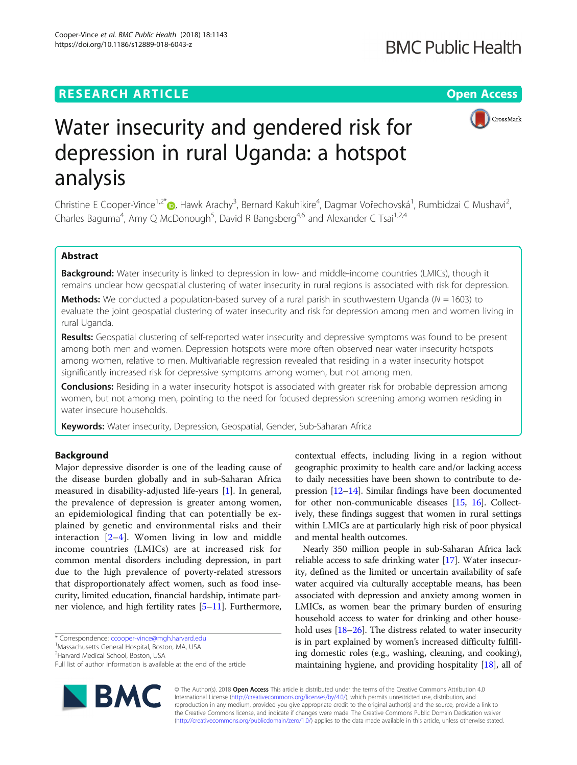# **RESEARCH ARTICLE Example 2014 12:30 The Contract of Contract ACCESS**

https://doi.org/10.1186/s12889-018-6043-z

Cooper-Vince et al. BMC Public Health (2018) 18:1143



# Water insecurity and gendered risk for depression in rural Uganda: a hotspot analysis

Christine E Cooper-Vince<sup>1,2[\\*](http://orcid.org/0000-0002-5043-6342)</sup>®, Hawk Arachy<sup>3</sup>, Bernard Kakuhikire<sup>4</sup>, Dagmar Vořechovská<sup>1</sup>, Rumbidzai C Mushavi<sup>2</sup> , Charles Baguma<sup>4</sup>, Amy Q McDonough<sup>5</sup>, David R Bangsberg<sup>4,6</sup> and Alexander C Tsai<sup>1,2,4</sup>

# Abstract

Background: Water insecurity is linked to depression in low- and middle-income countries (LMICs), though it remains unclear how geospatial clustering of water insecurity in rural regions is associated with risk for depression.

**Methods:** We conducted a population-based survey of a rural parish in southwestern Uganda ( $N = 1603$ ) to evaluate the joint geospatial clustering of water insecurity and risk for depression among men and women living in rural Uganda.

Results: Geospatial clustering of self-reported water insecurity and depressive symptoms was found to be present among both men and women. Depression hotspots were more often observed near water insecurity hotspots among women, relative to men. Multivariable regression revealed that residing in a water insecurity hotspot significantly increased risk for depressive symptoms among women, but not among men.

**Conclusions:** Residing in a water insecurity hotspot is associated with greater risk for probable depression among women, but not among men, pointing to the need for focused depression screening among women residing in water insecure households.

Keywords: Water insecurity, Depression, Geospatial, Gender, Sub-Saharan Africa

# Background

Major depressive disorder is one of the leading cause of the disease burden globally and in sub-Saharan Africa measured in disability-adjusted life-years [[1](#page-6-0)]. In general, the prevalence of depression is greater among women, an epidemiological finding that can potentially be explained by genetic and environmental risks and their interaction  $[2-4]$  $[2-4]$  $[2-4]$ . Women living in low and middle income countries (LMICs) are at increased risk for common mental disorders including depression, in part due to the high prevalence of poverty-related stressors that disproportionately affect women, such as food insecurity, limited education, financial hardship, intimate partner violence, and high fertility rates [\[5](#page-7-0)–[11\]](#page-7-0). Furthermore,

\* Correspondence: [ccooper-vince@mgh.harvard.edu](mailto:ccooper-vince@mgh.harvard.edu) <sup>1</sup>

<sup>2</sup>Harvard Medical School, Boston, USA

Full list of author information is available at the end of the article



contextual effects, including living in a region without geographic proximity to health care and/or lacking access to daily necessities have been shown to contribute to depression [\[12](#page-7-0)–[14](#page-7-0)]. Similar findings have been documented for other non-communicable diseases [\[15](#page-7-0), [16\]](#page-7-0). Collectively, these findings suggest that women in rural settings within LMICs are at particularly high risk of poor physical and mental health outcomes.

Nearly 350 million people in sub-Saharan Africa lack reliable access to safe drinking water [[17](#page-7-0)]. Water insecurity, defined as the limited or uncertain availability of safe water acquired via culturally acceptable means, has been associated with depression and anxiety among women in LMICs, as women bear the primary burden of ensuring household access to water for drinking and other house-hold uses [[18](#page-7-0)–[26\]](#page-7-0). The distress related to water insecurity is in part explained by women's increased difficulty fulfilling domestic roles (e.g., washing, cleaning, and cooking), maintaining hygiene, and providing hospitality [[18](#page-7-0)], all of

© The Author(s). 2018 Open Access This article is distributed under the terms of the Creative Commons Attribution 4.0 International License [\(http://creativecommons.org/licenses/by/4.0/](http://creativecommons.org/licenses/by/4.0/)), which permits unrestricted use, distribution, and reproduction in any medium, provided you give appropriate credit to the original author(s) and the source, provide a link to the Creative Commons license, and indicate if changes were made. The Creative Commons Public Domain Dedication waiver [\(http://creativecommons.org/publicdomain/zero/1.0/](http://creativecommons.org/publicdomain/zero/1.0/)) applies to the data made available in this article, unless otherwise stated.

<sup>&</sup>lt;sup>1</sup>Massachusetts General Hospital, Boston, MA, USA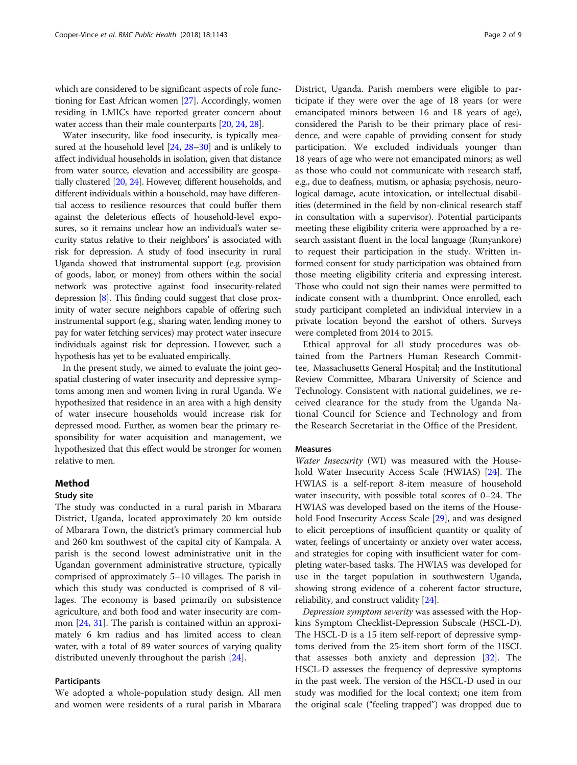which are considered to be significant aspects of role functioning for East African women [\[27\]](#page-7-0). Accordingly, women residing in LMICs have reported greater concern about water access than their male counterparts [[20,](#page-7-0) [24,](#page-7-0) [28](#page-7-0)].

Water insecurity, like food insecurity, is typically measured at the household level [[24](#page-7-0), [28](#page-7-0)–[30](#page-7-0)] and is unlikely to affect individual households in isolation, given that distance from water source, elevation and accessibility are geospatially clustered [\[20,](#page-7-0) [24](#page-7-0)]. However, different households, and different individuals within a household, may have differential access to resilience resources that could buffer them against the deleterious effects of household-level exposures, so it remains unclear how an individual's water security status relative to their neighbors' is associated with risk for depression. A study of food insecurity in rural Uganda showed that instrumental support (e.g. provision of goods, labor, or money) from others within the social network was protective against food insecurity-related depression [\[8\]](#page-7-0). This finding could suggest that close proximity of water secure neighbors capable of offering such instrumental support (e.g., sharing water, lending money to pay for water fetching services) may protect water insecure individuals against risk for depression. However, such a hypothesis has yet to be evaluated empirically.

In the present study, we aimed to evaluate the joint geospatial clustering of water insecurity and depressive symptoms among men and women living in rural Uganda. We hypothesized that residence in an area with a high density of water insecure households would increase risk for depressed mood. Further, as women bear the primary responsibility for water acquisition and management, we hypothesized that this effect would be stronger for women relative to men.

### Method

# Study site

The study was conducted in a rural parish in Mbarara District, Uganda, located approximately 20 km outside of Mbarara Town, the district's primary commercial hub and 260 km southwest of the capital city of Kampala. A parish is the second lowest administrative unit in the Ugandan government administrative structure, typically comprised of approximately 5–10 villages. The parish in which this study was conducted is comprised of 8 villages. The economy is based primarily on subsistence agriculture, and both food and water insecurity are common [[24](#page-7-0), [31](#page-7-0)]. The parish is contained within an approximately 6 km radius and has limited access to clean water, with a total of 89 water sources of varying quality distributed unevenly throughout the parish [\[24](#page-7-0)].

# Participants

We adopted a whole-population study design. All men and women were residents of a rural parish in Mbarara

District, Uganda. Parish members were eligible to participate if they were over the age of 18 years (or were emancipated minors between 16 and 18 years of age), considered the Parish to be their primary place of residence, and were capable of providing consent for study participation. We excluded individuals younger than 18 years of age who were not emancipated minors; as well as those who could not communicate with research staff, e.g., due to deafness, mutism, or aphasia; psychosis, neurological damage, acute intoxication, or intellectual disabilities (determined in the field by non-clinical research staff in consultation with a supervisor). Potential participants meeting these eligibility criteria were approached by a research assistant fluent in the local language (Runyankore) to request their participation in the study. Written informed consent for study participation was obtained from those meeting eligibility criteria and expressing interest. Those who could not sign their names were permitted to indicate consent with a thumbprint. Once enrolled, each study participant completed an individual interview in a private location beyond the earshot of others. Surveys were completed from 2014 to 2015.

Ethical approval for all study procedures was obtained from the Partners Human Research Committee, Massachusetts General Hospital; and the Institutional Review Committee, Mbarara University of Science and Technology. Consistent with national guidelines, we received clearance for the study from the Uganda National Council for Science and Technology and from the Research Secretariat in the Office of the President.

# Measures

Water Insecurity (WI) was measured with the Household Water Insecurity Access Scale (HWIAS) [\[24](#page-7-0)]. The HWIAS is a self-report 8-item measure of household water insecurity, with possible total scores of 0–24. The HWIAS was developed based on the items of the Household Food Insecurity Access Scale [\[29\]](#page-7-0), and was designed to elicit perceptions of insufficient quantity or quality of water, feelings of uncertainty or anxiety over water access, and strategies for coping with insufficient water for completing water-based tasks. The HWIAS was developed for use in the target population in southwestern Uganda, showing strong evidence of a coherent factor structure, reliability, and construct validity [\[24](#page-7-0)].

Depression symptom severity was assessed with the Hopkins Symptom Checklist-Depression Subscale (HSCL-D). The HSCL-D is a 15 item self-report of depressive symptoms derived from the 25-item short form of the HSCL that assesses both anxiety and depression [[32\]](#page-7-0). The HSCL-D assesses the frequency of depressive symptoms in the past week. The version of the HSCL-D used in our study was modified for the local context; one item from the original scale ("feeling trapped") was dropped due to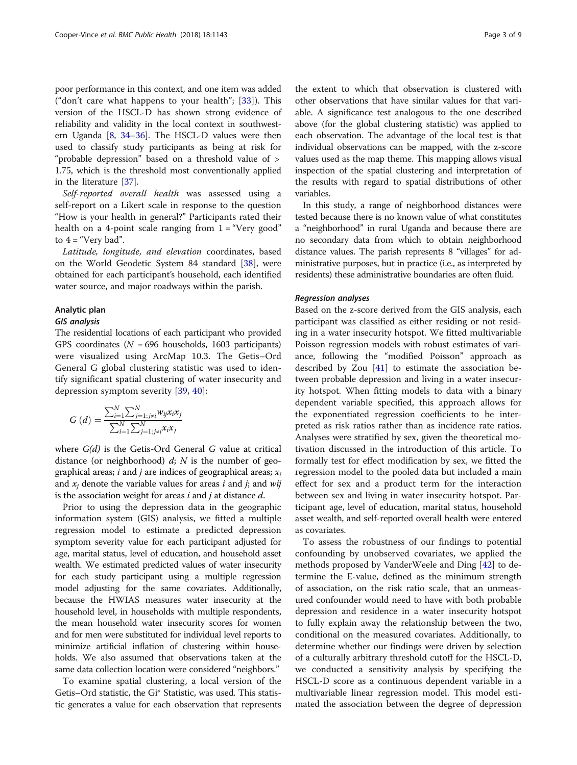poor performance in this context, and one item was added ("don't care what happens to your health";  $[33]$  $[33]$ ). This version of the HSCL-D has shown strong evidence of reliability and validity in the local context in southwestern Uganda [\[8,](#page-7-0) [34](#page-7-0)–[36\]](#page-7-0). The HSCL-D values were then used to classify study participants as being at risk for "probable depression" based on a threshold value of > 1.75, which is the threshold most conventionally applied in the literature [\[37\]](#page-7-0).

Self-reported overall health was assessed using a self-report on a Likert scale in response to the question "How is your health in general?" Participants rated their health on a 4-point scale ranging from  $1 =$  "Very good" to  $4 =$  "Very bad".

Latitude, longitude, and elevation coordinates, based on the World Geodetic System 84 standard [[38](#page-7-0)], were obtained for each participant's household, each identified water source, and major roadways within the parish.

# Analytic plan

The residential locations of each participant who provided GPS coordinates ( $N = 696$  households, 1603 participants) were visualized using ArcMap 10.3. The Getis–Ord General G global clustering statistic was used to identify significant spatial clustering of water insecurity and depression symptom severity [[39,](#page-7-0) [40\]](#page-7-0):

$$
G\left(d\right) = \frac{\sum_{i=1}^{N} \sum_{j=1;j\neq i}^{N} w_{ij} x_i x_j}{\sum_{i=1}^{N} \sum_{j=1;j\neq i}^{N} x_i x_j}
$$

where  $G(d)$  is the Getis-Ord General G value at critical distance (or neighborhood)  $d$ ; N is the number of geographical areas; i and j are indices of geographical areas;  $x_i$ and  $x_i$  denote the variable values for areas i and j; and wij is the association weight for areas  $i$  and  $j$  at distance  $d$ .

Prior to using the depression data in the geographic information system (GIS) analysis, we fitted a multiple regression model to estimate a predicted depression symptom severity value for each participant adjusted for age, marital status, level of education, and household asset wealth. We estimated predicted values of water insecurity for each study participant using a multiple regression model adjusting for the same covariates. Additionally, because the HWIAS measures water insecurity at the household level, in households with multiple respondents, the mean household water insecurity scores for women and for men were substituted for individual level reports to minimize artificial inflation of clustering within households. We also assumed that observations taken at the same data collection location were considered "neighbors."

To examine spatial clustering, a local version of the Getis–Ord statistic, the Gi\* Statistic, was used. This statistic generates a value for each observation that represents

the extent to which that observation is clustered with other observations that have similar values for that variable. A significance test analogous to the one described above (for the global clustering statistic) was applied to each observation. The advantage of the local test is that individual observations can be mapped, with the z-score values used as the map theme. This mapping allows visual inspection of the spatial clustering and interpretation of the results with regard to spatial distributions of other variables.

In this study, a range of neighborhood distances were tested because there is no known value of what constitutes a "neighborhood" in rural Uganda and because there are no secondary data from which to obtain neighborhood distance values. The parish represents 8 "villages" for administrative purposes, but in practice (i.e., as interpreted by residents) these administrative boundaries are often fluid.

Based on the z-score derived from the GIS analysis, each participant was classified as either residing or not residing in a water insecurity hotspot. We fitted multivariable Poisson regression models with robust estimates of variance, following the "modified Poisson" approach as described by Zou  $[41]$  $[41]$  $[41]$  to estimate the association between probable depression and living in a water insecurity hotspot. When fitting models to data with a binary dependent variable specified, this approach allows for the exponentiated regression coefficients to be interpreted as risk ratios rather than as incidence rate ratios. Analyses were stratified by sex, given the theoretical motivation discussed in the introduction of this article. To formally test for effect modification by sex, we fitted the regression model to the pooled data but included a main effect for sex and a product term for the interaction between sex and living in water insecurity hotspot. Participant age, level of education, marital status, household asset wealth, and self-reported overall health were entered as covariates.

To assess the robustness of our findings to potential confounding by unobserved covariates, we applied the methods proposed by VanderWeele and Ding [\[42\]](#page-7-0) to determine the E-value, defined as the minimum strength of association, on the risk ratio scale, that an unmeasured confounder would need to have with both probable depression and residence in a water insecurity hotspot to fully explain away the relationship between the two, conditional on the measured covariates. Additionally, to determine whether our findings were driven by selection of a culturally arbitrary threshold cutoff for the HSCL-D, we conducted a sensitivity analysis by specifying the HSCL-D score as a continuous dependent variable in a multivariable linear regression model. This model estimated the association between the degree of depression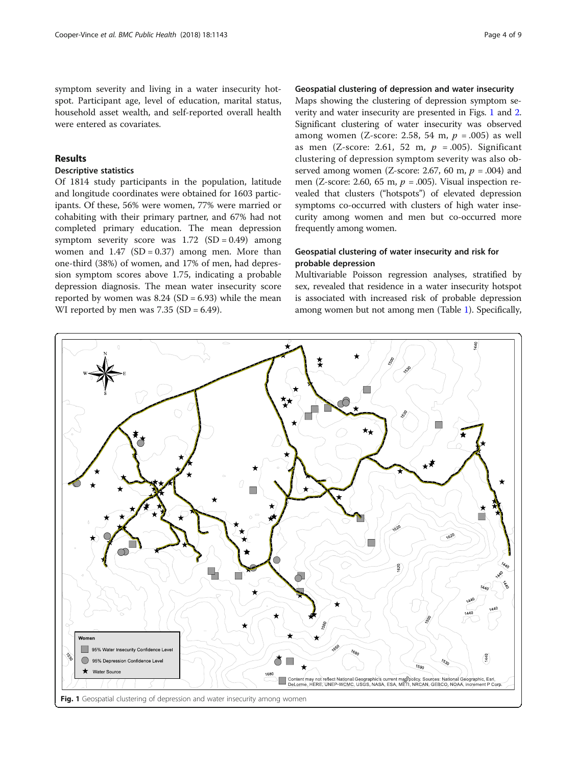symptom severity and living in a water insecurity hotspot. Participant age, level of education, marital status, household asset wealth, and self-reported overall health were entered as covariates.

# Results

# Descriptive statistics

Of 1814 study participants in the population, latitude and longitude coordinates were obtained for 1603 participants. Of these, 56% were women, 77% were married or cohabiting with their primary partner, and 67% had not completed primary education. The mean depression symptom severity score was  $1.72$  (SD = 0.49) among women and  $1.47$  (SD = 0.37) among men. More than one-third (38%) of women, and 17% of men, had depression symptom scores above 1.75, indicating a probable depression diagnosis. The mean water insecurity score reported by women was  $8.24$  (SD = 6.93) while the mean WI reported by men was  $7.35$  (SD = 6.49).

# Geospatial clustering of depression and water insecurity

Maps showing the clustering of depression symptom severity and water insecurity are presented in Figs. 1 and [2](#page-4-0). Significant clustering of water insecurity was observed among women (Z-score: 2.58, 54 m,  $p = .005$ ) as well as men (Z-score: 2.61, 52 m,  $p = .005$ ). Significant clustering of depression symptom severity was also observed among women (Z-score: 2.67, 60 m,  $p = .004$ ) and men (Z-score: 2.60, 65 m,  $p = .005$ ). Visual inspection revealed that clusters ("hotspots") of elevated depression symptoms co-occurred with clusters of high water insecurity among women and men but co-occurred more frequently among women.

# Geospatial clustering of water insecurity and risk for probable depression

Multivariable Poisson regression analyses, stratified by sex, revealed that residence in a water insecurity hotspot is associated with increased risk of probable depression among women but not among men (Table [1\)](#page-4-0). Specifically,

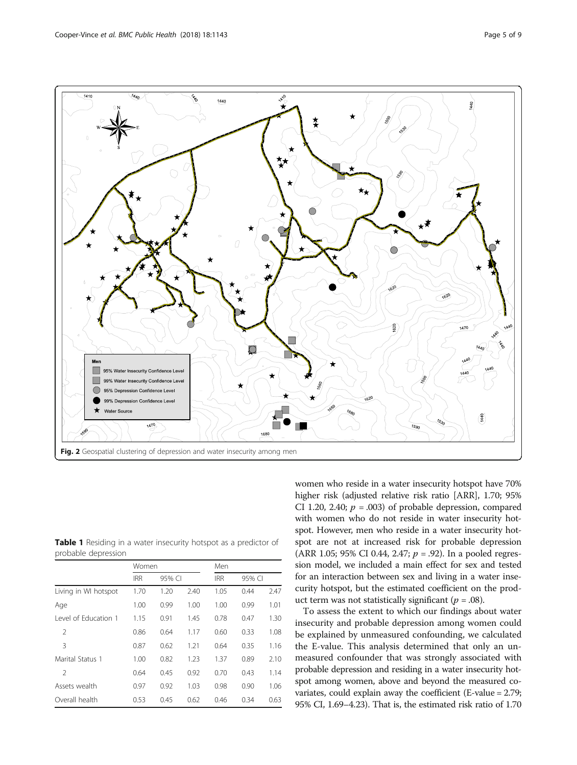<span id="page-4-0"></span>

Table 1 Residing in a water insecurity hotspot as a predictor of probable depression

|                      | Women      |        |      | Men        |        |      |
|----------------------|------------|--------|------|------------|--------|------|
|                      | <b>IRR</b> | 95% CI |      | <b>IRR</b> | 95% CI |      |
| Living in WI hotspot | 1.70       | 1.20   | 2.40 | 1.05       | 0.44   | 2.47 |
| Age                  | 1.00       | 0.99   | 1.00 | 1.00       | 0.99   | 1.01 |
| Level of Education 1 | 1.15       | 0.91   | 1.45 | 0.78       | 0.47   | 1.30 |
| $\mathcal{P}$        | 0.86       | 0.64   | 1.17 | 0.60       | 0.33   | 1.08 |
| 3                    | 0.87       | 0.62   | 1.21 | 0.64       | 0.35   | 1.16 |
| Marital Status 1     | 1.00       | 0.82   | 1.23 | 1.37       | 0.89   | 2.10 |
| $\mathcal{P}$        | 0.64       | 0.45   | 0.92 | 0.70       | 0.43   | 1.14 |
| Assets wealth        | 0.97       | 0.92   | 1.03 | 0.98       | 0.90   | 1.06 |
| Overall health       | 0.53       | 0.45   | 0.62 | 0.46       | 0.34   | 0.63 |

women who reside in a water insecurity hotspot have 70% higher risk (adjusted relative risk ratio [ARR], 1.70; 95% CI 1.20, 2.40;  $p = .003$ ) of probable depression, compared with women who do not reside in water insecurity hotspot. However, men who reside in a water insecurity hotspot are not at increased risk for probable depression (ARR 1.05; 95% CI 0.44, 2.47;  $p = .92$ ). In a pooled regression model, we included a main effect for sex and tested for an interaction between sex and living in a water insecurity hotspot, but the estimated coefficient on the product term was not statistically significant ( $p = .08$ ).

To assess the extent to which our findings about water insecurity and probable depression among women could be explained by unmeasured confounding, we calculated the E-value. This analysis determined that only an unmeasured confounder that was strongly associated with probable depression and residing in a water insecurity hotspot among women, above and beyond the measured covariates, could explain away the coefficient (E-value = 2.79; 95% CI, 1.69–4.23). That is, the estimated risk ratio of 1.70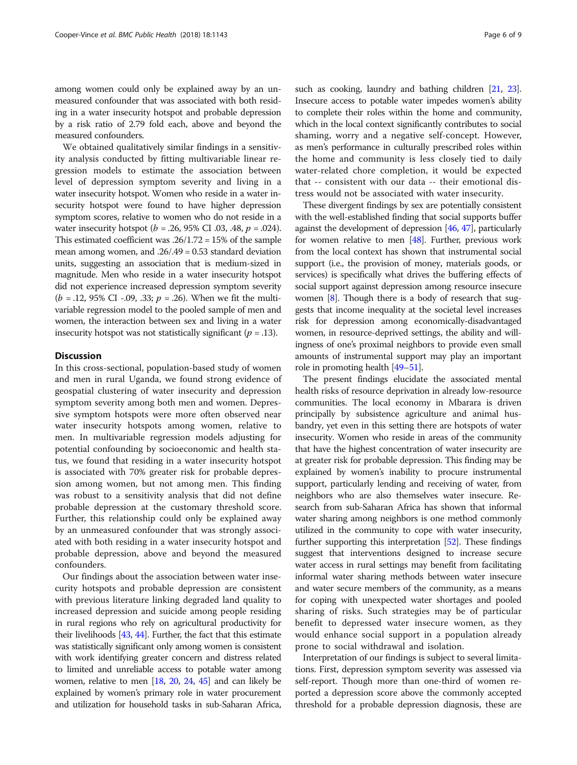among women could only be explained away by an unmeasured confounder that was associated with both residing in a water insecurity hotspot and probable depression by a risk ratio of 2.79 fold each, above and beyond the measured confounders.

We obtained qualitatively similar findings in a sensitivity analysis conducted by fitting multivariable linear regression models to estimate the association between level of depression symptom severity and living in a water insecurity hotspot. Women who reside in a water insecurity hotspot were found to have higher depression symptom scores, relative to women who do not reside in a water insecurity hotspot ( $b = .26, 95\%$  CI .03, .48,  $p = .024$ ). This estimated coefficient was .26/1.72 = 15% of the sample mean among women, and .26/.49 = 0.53 standard deviation units, suggesting an association that is medium-sized in magnitude. Men who reside in a water insecurity hotspot did not experience increased depression symptom severity  $(b = .12, 95\% \text{ CI} - .09, .33; p = .26)$ . When we fit the multivariable regression model to the pooled sample of men and women, the interaction between sex and living in a water insecurity hotspot was not statistically significant ( $p = .13$ ).

# **Discussion**

In this cross-sectional, population-based study of women and men in rural Uganda, we found strong evidence of geospatial clustering of water insecurity and depression symptom severity among both men and women. Depressive symptom hotspots were more often observed near water insecurity hotspots among women, relative to men. In multivariable regression models adjusting for potential confounding by socioeconomic and health status, we found that residing in a water insecurity hotspot is associated with 70% greater risk for probable depression among women, but not among men. This finding was robust to a sensitivity analysis that did not define probable depression at the customary threshold score. Further, this relationship could only be explained away by an unmeasured confounder that was strongly associated with both residing in a water insecurity hotspot and probable depression, above and beyond the measured confounders.

Our findings about the association between water insecurity hotspots and probable depression are consistent with previous literature linking degraded land quality to increased depression and suicide among people residing in rural regions who rely on agricultural productivity for their livelihoods [\[43,](#page-7-0) [44](#page-8-0)]. Further, the fact that this estimate was statistically significant only among women is consistent with work identifying greater concern and distress related to limited and unreliable access to potable water among women, relative to men [\[18,](#page-7-0) [20](#page-7-0), [24](#page-7-0), [45\]](#page-8-0) and can likely be explained by women's primary role in water procurement and utilization for household tasks in sub-Saharan Africa, such as cooking, laundry and bathing children [[21,](#page-7-0) [23](#page-7-0)]. Insecure access to potable water impedes women's ability to complete their roles within the home and community, which in the local context significantly contributes to social shaming, worry and a negative self-concept. However, as men's performance in culturally prescribed roles within the home and community is less closely tied to daily water-related chore completion, it would be expected that -- consistent with our data -- their emotional distress would not be associated with water insecurity.

These divergent findings by sex are potentially consistent with the well-established finding that social supports buffer against the development of depression [\[46,](#page-8-0) [47](#page-8-0)], particularly for women relative to men [[48](#page-8-0)]. Further, previous work from the local context has shown that instrumental social support (i.e., the provision of money, materials goods, or services) is specifically what drives the buffering effects of social support against depression among resource insecure women [[8](#page-7-0)]. Though there is a body of research that suggests that income inequality at the societal level increases risk for depression among economically-disadvantaged women, in resource-deprived settings, the ability and willingness of one's proximal neighbors to provide even small amounts of instrumental support may play an important role in promoting health [\[49](#page-8-0)–[51](#page-8-0)].

The present findings elucidate the associated mental health risks of resource deprivation in already low-resource communities. The local economy in Mbarara is driven principally by subsistence agriculture and animal husbandry, yet even in this setting there are hotspots of water insecurity. Women who reside in areas of the community that have the highest concentration of water insecurity are at greater risk for probable depression. This finding may be explained by women's inability to procure instrumental support, particularly lending and receiving of water, from neighbors who are also themselves water insecure. Research from sub-Saharan Africa has shown that informal water sharing among neighbors is one method commonly utilized in the community to cope with water insecurity, further supporting this interpretation [\[52\]](#page-8-0). These findings suggest that interventions designed to increase secure water access in rural settings may benefit from facilitating informal water sharing methods between water insecure and water secure members of the community, as a means for coping with unexpected water shortages and pooled sharing of risks. Such strategies may be of particular benefit to depressed water insecure women, as they would enhance social support in a population already prone to social withdrawal and isolation.

Interpretation of our findings is subject to several limitations. First, depression symptom severity was assessed via self-report. Though more than one-third of women reported a depression score above the commonly accepted threshold for a probable depression diagnosis, these are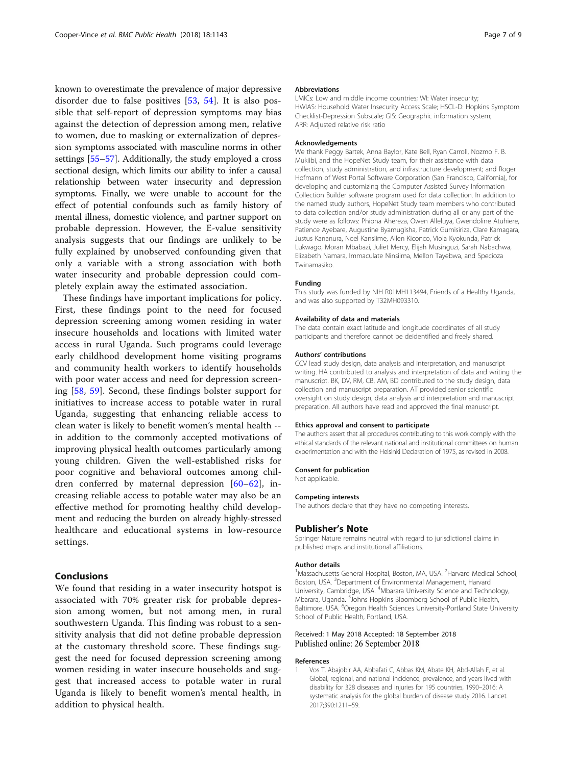<span id="page-6-0"></span>known to overestimate the prevalence of major depressive disorder due to false positives [[53,](#page-8-0) [54](#page-8-0)]. It is also possible that self-report of depression symptoms may bias against the detection of depression among men, relative to women, due to masking or externalization of depression symptoms associated with masculine norms in other settings [\[55](#page-8-0)–[57](#page-8-0)]. Additionally, the study employed a cross sectional design, which limits our ability to infer a causal relationship between water insecurity and depression symptoms. Finally, we were unable to account for the effect of potential confounds such as family history of mental illness, domestic violence, and partner support on probable depression. However, the E-value sensitivity analysis suggests that our findings are unlikely to be fully explained by unobserved confounding given that only a variable with a strong association with both water insecurity and probable depression could completely explain away the estimated association.

These findings have important implications for policy. First, these findings point to the need for focused depression screening among women residing in water insecure households and locations with limited water access in rural Uganda. Such programs could leverage early childhood development home visiting programs and community health workers to identify households with poor water access and need for depression screening [[58,](#page-8-0) [59\]](#page-8-0). Second, these findings bolster support for initiatives to increase access to potable water in rural Uganda, suggesting that enhancing reliable access to clean water is likely to benefit women's mental health - in addition to the commonly accepted motivations of improving physical health outcomes particularly among young children. Given the well-established risks for poor cognitive and behavioral outcomes among children conferred by maternal depression [[60](#page-8-0)–[62](#page-8-0)], increasing reliable access to potable water may also be an effective method for promoting healthy child development and reducing the burden on already highly-stressed healthcare and educational systems in low-resource settings.

# Conclusions

We found that residing in a water insecurity hotspot is associated with 70% greater risk for probable depression among women, but not among men, in rural southwestern Uganda. This finding was robust to a sensitivity analysis that did not define probable depression at the customary threshold score. These findings suggest the need for focused depression screening among women residing in water insecure households and suggest that increased access to potable water in rural Uganda is likely to benefit women's mental health, in addition to physical health.

#### Abbreviations

LMICs: Low and middle income countries; WI: Water insecurity; HWIAS: Household Water Insecurity Access Scale; HSCL-D: Hopkins Symptom Checklist-Depression Subscale; GIS: Geographic information system; ARR: Adjusted relative risk ratio

#### Acknowledgements

We thank Peggy Bartek, Anna Baylor, Kate Bell, Ryan Carroll, Nozmo F. B. Mukiibi, and the HopeNet Study team, for their assistance with data collection, study administration, and infrastructure development; and Roger Hofmann of West Portal Software Corporation (San Francisco, California), for developing and customizing the Computer Assisted Survey Information Collection Builder software program used for data collection. In addition to the named study authors, HopeNet Study team members who contributed to data collection and/or study administration during all or any part of the study were as follows: Phiona Ahereza, Owen Alleluya, Gwendoline Atuhiere, Patience Ayebare, Augustine Byamugisha, Patrick Gumisiriza, Clare Kamagara, Justus Kananura, Noel Kansiime, Allen Kiconco, Viola Kyokunda, Patrick Lukwago, Moran Mbabazi, Juliet Mercy, Elijah Musinguzi, Sarah Nabachwa, Elizabeth Namara, Immaculate Ninsiima, Mellon Tayebwa, and Specioza Twinamasiko.

#### Funding

This study was funded by NIH R01MH113494, Friends of a Healthy Uganda, and was also supported by T32MH093310.

#### Availability of data and materials

The data contain exact latitude and longitude coordinates of all study participants and therefore cannot be deidentified and freely shared.

#### Authors' contributions

CCV lead study design, data analysis and interpretation, and manuscript writing. HA contributed to analysis and interpretation of data and writing the manuscript. BK, DV, RM, CB, AM, BD contributed to the study design, data collection and manuscript preparation. AT provided senior scientific oversight on study design, data analysis and interpretation and manuscript preparation. All authors have read and approved the final manuscript.

#### Ethics approval and consent to participate

The authors assert that all procedures contributing to this work comply with the ethical standards of the relevant national and institutional committees on human experimentation and with the Helsinki Declaration of 1975, as revised in 2008.

#### Consent for publication

Not applicable.

#### Competing interests

The authors declare that they have no competing interests.

#### Publisher's Note

Springer Nature remains neutral with regard to jurisdictional claims in published maps and institutional affiliations.

#### Author details

<sup>1</sup>Massachusetts General Hospital, Boston, MA, USA. <sup>2</sup>Harvard Medical School Boston, USA. <sup>3</sup>Department of Environmental Management, Harvard University, Cambridge, USA. <sup>4</sup> Mbarara University Science and Technology, Mbarara, Uganda. <sup>5</sup>Johns Hopkins Bloomberg School of Public Health, Baltimore, USA. <sup>6</sup>Oregon Health Sciences University-Portland State University School of Public Health, Portland, USA.

## Received: 1 May 2018 Accepted: 18 September 2018 Published online: 26 September 2018

#### References

Vos T, Abajobir AA, Abbafati C, Abbas KM, Abate KH, Abd-Allah F, et al. Global, regional, and national incidence, prevalence, and years lived with disability for 328 diseases and injuries for 195 countries, 1990–2016: A systematic analysis for the global burden of disease study 2016. Lancet. 2017;390:1211–59.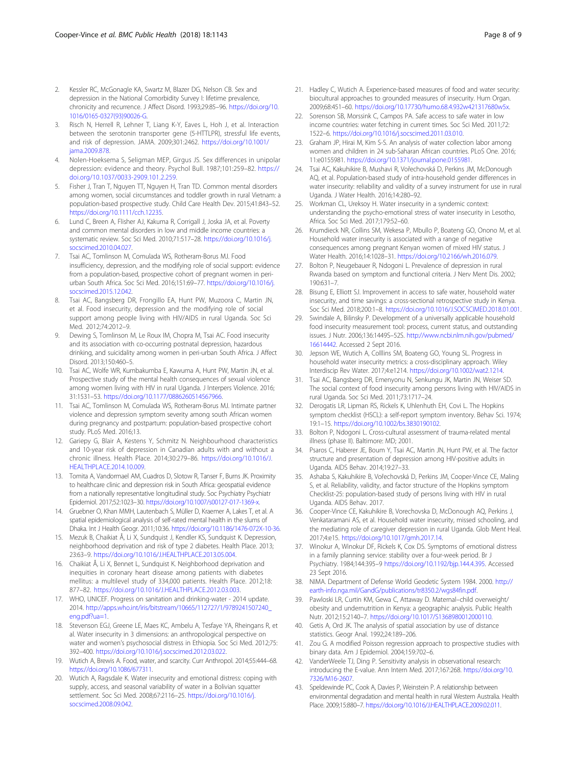- <span id="page-7-0"></span>2. Kessler RC, McGonagle KA, Swartz M, Blazer DG, Nelson CB. Sex and depression in the National Comorbidity Survey I: lifetime prevalence, chronicity and recurrence. J Affect Disord. 1993;29:85–96. [https://doi.org/10.](https://doi.org/10.1016/0165-0327(93)90026-G) [1016/0165-0327\(93\)90026-G](https://doi.org/10.1016/0165-0327(93)90026-G).
- 3. Risch N, Herrell R, Lehner T, Liang K-Y, Eaves L, Hoh J, et al. Interaction between the serotonin transporter gene (5-HTTLPR), stressful life events, and risk of depression. JAMA. 2009;301:2462. [https://doi.org/10.1001/](https://doi.org/10.1001/jama.2009.878) [jama.2009.878.](https://doi.org/10.1001/jama.2009.878)
- 4. Nolen-Hoeksema S, Seligman MEP, Girgus JS. Sex differences in unipolar depression: evidence and theory. Psychol Bull. 1987;101:259–82. [https://](https://doi.org/10.1037/0033-2909.101.2.259) [doi.org/10.1037/0033-2909.101.2.259.](https://doi.org/10.1037/0033-2909.101.2.259)
- 5. Fisher J, Tran T, Nguyen TT, Nguyen H, Tran TD. Common mental disorders among women, social circumstances and toddler growth in rural Vietnam: a population-based prospective study. Child Care Health Dev. 2015;41:843–52. <https://doi.org/10.1111/cch.12235>.
- Lund C, Breen A, Flisher AJ, Kakuma R, Corrigall J, Joska JA, et al. Poverty and common mental disorders in low and middle income countries: a systematic review. Soc Sci Med. 2010;71:517–28. [https://doi.org/10.1016/j.](https://doi.org/10.1016/j.socscimed.2010.04.027) [socscimed.2010.04.027.](https://doi.org/10.1016/j.socscimed.2010.04.027)
- 7. Tsai AC, Tomlinson M, Comulada WS, Rotheram-Borus MJ. Food insufficiency, depression, and the modifying role of social support: evidence from a population-based, prospective cohort of pregnant women in periurban South Africa. Soc Sci Med. 2016;151:69–77. [https://doi.org/10.1016/j.](https://doi.org/10.1016/j.socscimed.2015.12.042) [socscimed.2015.12.042.](https://doi.org/10.1016/j.socscimed.2015.12.042)
- Tsai AC, Bangsberg DR, Frongillo EA, Hunt PW, Muzoora C, Martin JN, et al. Food insecurity, depression and the modifying role of social support among people living with HIV/AIDS in rural Uganda. Soc Sci Med. 2012;74:2012–9.
- Dewing S, Tomlinson M, Le Roux IM, Chopra M, Tsai AC. Food insecurity and its association with co-occurring postnatal depression, hazardous drinking, and suicidality among women in peri-urban South Africa. J Affect Disord. 2013;150:460–5.
- 10. Tsai AC, Wolfe WR, Kumbakumba E, Kawuma A, Hunt PW, Martin JN, et al. Prospective study of the mental health consequences of sexual violence among women living with HIV in rural Uganda. J Interpers Violence. 2016; 31:1531–53. [https://doi.org/10.1177/0886260514567966.](https://doi.org/10.1177/0886260514567966)
- 11. Tsai AC, Tomlinson M, Comulada WS, Rotheram-Borus MJ. Intimate partner violence and depression symptom severity among south African women during pregnancy and postpartum: population-based prospective cohort study. PLoS Med. 2016;13.
- 12. Gariepy G, Blair A, Kestens Y, Schmitz N. Neighbourhood characteristics and 10-year risk of depression in Canadian adults with and without a chronic illness. Health Place. 2014;30:279–86. [https://doi.org/10.1016/J.](https://doi.org/10.1016/J.HEALTHPLACE.2014.10.009) [HEALTHPLACE.2014.10.009.](https://doi.org/10.1016/J.HEALTHPLACE.2014.10.009)
- 13. Tomita A, Vandormael AM, Cuadros D, Slotow R, Tanser F, Burns JK. Proximity to healthcare clinic and depression risk in South Africa: geospatial evidence from a nationally representative longitudinal study. Soc Psychiatry Psychiatr Epidemiol. 2017;52:1023–30. <https://doi.org/10.1007/s00127-017-1369-x>.
- 14. Gruebner O, Khan MMH, Lautenbach S, Müller D, Kraemer A, Lakes T, et al. A spatial epidemiological analysis of self-rated mental health in the slums of Dhaka. Int J Health Geogr. 2011;10:36. <https://doi.org/10.1186/1476-072X-10-36>.
- 15. Mezuk B, Chaikiat Å, Li X, Sundquist J, Kendler KS, Sundquist K. Depression, neighborhood deprivation and risk of type 2 diabetes. Health Place. 2013; 23:63–9. [https://doi.org/10.1016/J.HEALTHPLACE.2013.05.004.](https://doi.org/10.1016/J.HEALTHPLACE.2013.05.004)
- 16. Chaikiat Å, Li X, Bennet L, Sundquist K. Neighborhood deprivation and inequities in coronary heart disease among patients with diabetes mellitus: a multilevel study of 334,000 patients. Health Place. 2012;18: 877–82. <https://doi.org/10.1016/J.HEALTHPLACE.2012.03.003>.
- 17. WHO, UNICEF. Progress on sanitation and drinking-water 2014 update. 2014. [http://apps.who.int/iris/bitstream/10665/112727/1/9789241507240\\_](http://apps.who.int/iris/bitstream/10665/112727/1/9789241507240_eng.pdf?ua=1) [eng.pdf?ua=1.](http://apps.who.int/iris/bitstream/10665/112727/1/9789241507240_eng.pdf?ua=1)
- 18. Stevenson EGJ, Greene LE, Maes KC, Ambelu A, Tesfaye YA, Rheingans R, et al. Water insecurity in 3 dimensions: an anthropological perspective on water and women's psychosocial distress in Ethiopia. Soc Sci Med. 2012;75: 392–400. [https://doi.org/10.1016/j.socscimed.2012.03.022.](https://doi.org/10.1016/j.socscimed.2012.03.022)
- 19. Wutich A, Brewis A. Food, water, and scarcity. Curr Anthropol. 2014;55:444–68. [https://doi.org/10.1086/677311.](https://doi.org/10.1086/677311)
- 20. Wutich A, Ragsdale K. Water insecurity and emotional distress: coping with supply, access, and seasonal variability of water in a Bolivian squatter settlement. Soc Sci Med. 2008;67:2116–25. [https://doi.org/10.1016/j.](https://doi.org/10.1016/j.socscimed.2008.09.042) [socscimed.2008.09.042.](https://doi.org/10.1016/j.socscimed.2008.09.042)
- 21. Hadley C, Wutich A. Experience-based measures of food and water security: biocultural approaches to grounded measures of insecurity. Hum Organ. 2009;68:451–60. [https://doi.org/10.17730/humo.68.4.932w421317680w5x.](https://doi.org/10.17730/humo.68.4.932w421317680w5x)
- 22. Sorenson SB, Morssink C, Campos PA. Safe access to safe water in low income countries: water fetching in current times. Soc Sci Med. 2011;72: 1522–6. [https://doi.org/10.1016/j.socscimed.2011.03.010.](https://doi.org/10.1016/j.socscimed.2011.03.010)
- 23. Graham JP, Hirai M, Kim S-S. An analysis of water collection labor among women and children in 24 sub-Saharan African countries. PLoS One. 2016; 11:e0155981. <https://doi.org/10.1371/journal.pone.0155981>.
- 24. Tsai AC, Kakuhikire B, Mushavi R, Vořechovská D, Perkins JM, McDonough AQ, et al. Population-based study of intra-household gender differences in water insecurity: reliability and validity of a survey instrument for use in rural Uganda. J Water Health. 2016;14:280–92.
- 25. Workman CL, Ureksoy H. Water insecurity in a syndemic context: understanding the psycho-emotional stress of water insecurity in Lesotho, Africa. Soc Sci Med. 2017;179:52–60.
- 26. Krumdieck NR, Collins SM, Wekesa P, Mbullo P, Boateng GO, Onono M, et al. Household water insecurity is associated with a range of negative consequences among pregnant Kenyan women of mixed HIV status. J Water Health. 2016;14:1028–31. [https://doi.org/10.2166/wh.2016.079.](https://doi.org/10.2166/wh.2016.079)
- 27. Bolton P, Neugebauer R, Ndogoni L. Prevalence of depression in rural Rwanda based on symptom and functional criteria. J Nerv Ment Dis. 2002; 190:631–7.
- 28. Bisung E, Elliott SJ. Improvement in access to safe water, household water insecurity, and time savings: a cross-sectional retrospective study in Kenya. Soc Sci Med. 2018;200:1–8. <https://doi.org/10.1016/J.SOCSCIMED.2018.01.001>.
- 29. Swindale A, Bilinsky P. Development of a universally applicable household food insecurity measurement tool: process, current status, and outstanding issues. J Nutr. 2006;136:1449S–52S. [http://www.ncbi.nlm.nih.gov/pubmed/](http://www.ncbi.nlm.nih.gov/pubmed/16614442) [16614442.](http://www.ncbi.nlm.nih.gov/pubmed/16614442) Accessed 2 Sept 2016.
- 30. Jepson WE, Wutich A, Colllins SM, Boateng GO, Young SL. Progress in household water insecurity metrics: a cross-disciplinary approach. Wiley Interdiscip Rev Water. 2017;4:e1214. <https://doi.org/10.1002/wat2.1214>.
- 31. Tsai AC, Bangsberg DR, Emenyonu N, Senkungu JK, Martin JN, Weiser SD. The social context of food insecurity among persons living with HIV/AIDS in rural Uganda. Soc Sci Med. 2011;73:1717–24.
- 32. Derogatis LR, Lipman RS, Rickels K, Uhlenhuth EH, Covi L. The Hopkins symptom checklist (HSCL): a self-report symptom inventory. Behav Sci. 1974; 19:1–15. [https://doi.org/10.1002/bs.3830190102.](https://doi.org/10.1002/bs.3830190102)
- 33. Bolton P, Ndogoni L. Cross-cultural assessment of trauma-related mental illness (phase II). Baltimore: MD; 2001.
- 34. Psaros C, Haberer JE, Boum Y, Tsai AC, Martin JN, Hunt PW, et al. The factor structure and presentation of depression among HIV-positive adults in Uganda. AIDS Behav. 2014;19:27–33.
- 35. Ashaba S, Kakuhikire B, Vořechovská D, Perkins JM, Cooper-Vince CE, Maling S, et al. Reliability, validity, and factor structure of the Hopkins symptom Checklist-25: population-based study of persons living with HIV in rural Uganda. AIDS Behav. 2017.
- 36. Cooper-Vince CE, Kakuhikire B, Vorechovska D, McDonough AQ, Perkins J, Venkataramani AS, et al. Household water insecurity, missed schooling, and the mediating role of caregiver depression in rural Uganda. Glob Ment Heal. 2017;4:e15. <https://doi.org/10.1017/gmh.2017.14>.
- 37. Winokur A, Winokur DF, Rickels K, Cox DS. Symptoms of emotional distress in a family planning service: stability over a four-week period. Br J Psychiatry. 1984;144:395–9 [https://doi.org/10.1192/bjp.144.4.395.](https://doi.org/10.1192/bjp.144.4.395) Accessed 23 Sept 2016.
- 38. NIMA. Department of Defense World Geodetic System 1984. 2000. [http://](http://earth-info.nga.mil/GandG/publications/tr8350.2/wgs84fin.pdf) [earth-info.nga.mil/GandG/publications/tr8350.2/wgs84fin.pdf.](http://earth-info.nga.mil/GandG/publications/tr8350.2/wgs84fin.pdf)
- 39. Pawloski LR, Curtin KM, Gewa C, Attaway D. Maternal–child overweight/ obesity and undernutrition in Kenya: a geographic analysis. Public Health Nutr. 2012;15:2140–7. <https://doi.org/10.1017/S1368980012000110>.
- 40. Getis A, Ord JK. The analysis of spatial association by use of distance statistics. Geogr Anal. 1992;24:189–206.
- 41. Zou G. A modified Poisson regression approach to prospective studies with binary data. Am J Epidemiol. 2004;159:702–6.
- 42. VanderWeele TJ, Ding P. Sensitivity analysis in observational research: introducing the E-value. Ann Intern Med. 2017;167:268. [https://doi.org/10.](https://doi.org/10.7326/M16-2607) [7326/M16-2607.](https://doi.org/10.7326/M16-2607)
- 43. Speldewinde PC, Cook A, Davies P, Weinstein P. A relationship between environmental degradation and mental health in rural Western Australia. Health Place. 2009;15:880–7. [https://doi.org/10.1016/J.HEALTHPLACE.2009.02.011.](https://doi.org/10.1016/J.HEALTHPLACE.2009.02.011)